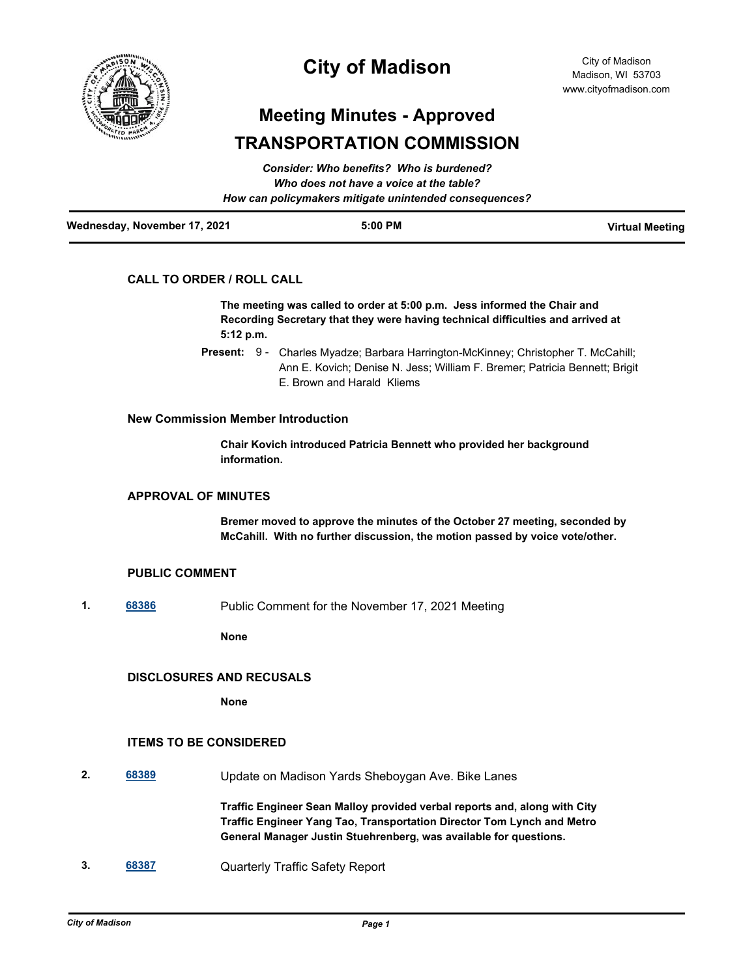

## **City of Madison**

# **Meeting Minutes - Approved TRANSPORTATION COMMISSION**

| Wednesday, November 17, 2021 | $5:00$ PM                                              | <b>Virtual Meeting</b> |
|------------------------------|--------------------------------------------------------|------------------------|
|                              | How can policymakers mitigate unintended consequences? |                        |
|                              | Who does not have a voice at the table?                |                        |
|                              | Consider: Who benefits? Who is burdened?               |                        |

## **CALL TO ORDER / ROLL CALL**

**The meeting was called to order at 5:00 p.m. Jess informed the Chair and Recording Secretary that they were having technical difficulties and arrived at 5:12 p.m.**

Present: 9 - Charles Myadze; Barbara Harrington-McKinney; Christopher T. McCahill; Ann E. Kovich; Denise N. Jess; William F. Bremer; Patricia Bennett; Brigit E. Brown and Harald Kliems

#### **New Commission Member Introduction**

**Chair Kovich introduced Patricia Bennett who provided her background information.**

## **APPROVAL OF MINUTES**

**Bremer moved to approve the minutes of the October 27 meeting, seconded by McCahill. With no further discussion, the motion passed by voice vote/other.**

#### **PUBLIC COMMENT**

**1. [68386](http://madison.legistar.com/gateway.aspx?m=l&id=/matter.aspx?key=80075)** Public Comment for the November 17, 2021 Meeting

**None**

## **DISCLOSURES AND RECUSALS**

**None**

## **ITEMS TO BE CONSIDERED**

**2. [68389](http://madison.legistar.com/gateway.aspx?m=l&id=/matter.aspx?key=80078)** Update on Madison Yards Sheboygan Ave. Bike Lanes

**Traffic Engineer Sean Malloy provided verbal reports and, along with City Traffic Engineer Yang Tao, Transportation Director Tom Lynch and Metro General Manager Justin Stuehrenberg, was available for questions.**

**3. [68387](http://madison.legistar.com/gateway.aspx?m=l&id=/matter.aspx?key=80076)** Quarterly Traffic Safety Report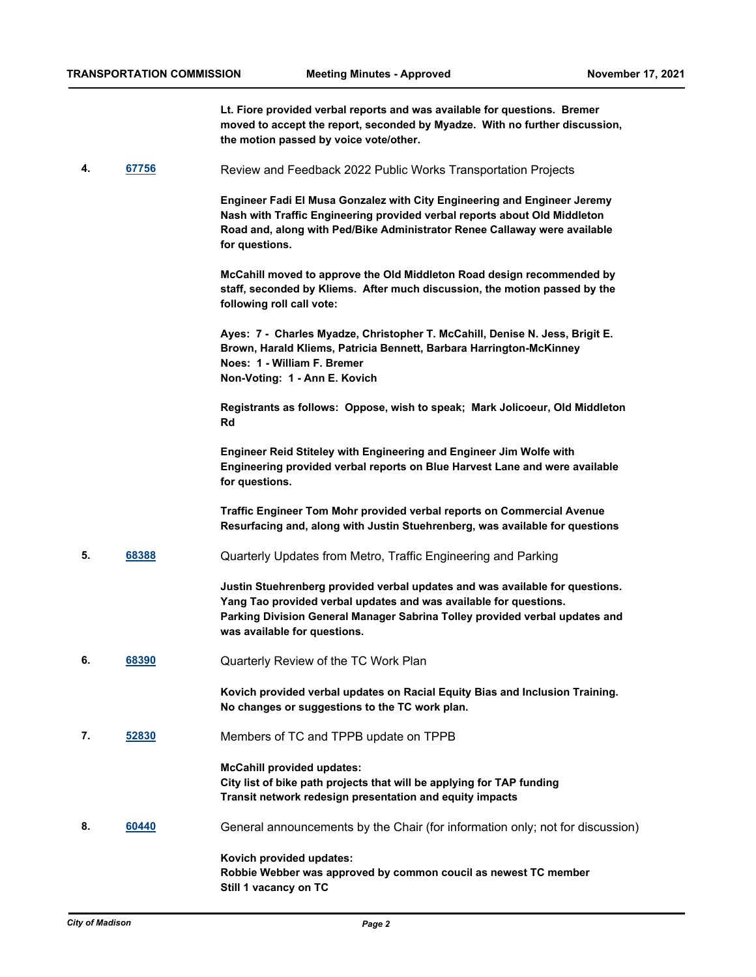**Lt. Fiore provided verbal reports and was available for questions. Bremer moved to accept the report, seconded by Myadze. With no further discussion, the motion passed by voice vote/other.**

**4. [67756](http://madison.legistar.com/gateway.aspx?m=l&id=/matter.aspx?key=79587)** Review and Feedback 2022 Public Works Transportation Projects

**Engineer Fadi El Musa Gonzalez with City Engineering and Engineer Jeremy Nash with Traffic Engineering provided verbal reports about Old Middleton Road and, along with Ped/Bike Administrator Renee Callaway were available for questions.**

**McCahill moved to approve the Old Middleton Road design recommended by staff, seconded by Kliems. After much discussion, the motion passed by the following roll call vote:**

**Ayes: 7 - Charles Myadze, Christopher T. McCahill, Denise N. Jess, Brigit E. Brown, Harald Kliems, Patricia Bennett, Barbara Harrington-McKinney Noes: 1 - William F. Bremer Non-Voting: 1 - Ann E. Kovich**

**Registrants as follows: Oppose, wish to speak; Mark Jolicoeur, Old Middleton Rd**

**Engineer Reid Stiteley with Engineering and Engineer Jim Wolfe with Engineering provided verbal reports on Blue Harvest Lane and were available for questions.**

**Traffic Engineer Tom Mohr provided verbal reports on Commercial Avenue Resurfacing and, along with Justin Stuehrenberg, was available for questions**

**5. [68388](http://madison.legistar.com/gateway.aspx?m=l&id=/matter.aspx?key=80077)** Quarterly Updates from Metro, Traffic Engineering and Parking

**Justin Stuehrenberg provided verbal updates and was available for questions. Yang Tao provided verbal updates and was available for questions. Parking Division General Manager Sabrina Tolley provided verbal updates and was available for questions.**

**6. [68390](http://madison.legistar.com/gateway.aspx?m=l&id=/matter.aspx?key=80079)** Quarterly Review of the TC Work Plan

**Kovich provided verbal updates on Racial Equity Bias and Inclusion Training. No changes or suggestions to the TC work plan.**

**7. [52830](http://madison.legistar.com/gateway.aspx?m=l&id=/matter.aspx?key=59483)** Members of TC and TPPB update on TPPB

**McCahill provided updates: City list of bike path projects that will be applying for TAP funding Transit network redesign presentation and equity impacts**

**8. [60440](http://madison.legistar.com/gateway.aspx?m=l&id=/matter.aspx?key=71299)** General announcements by the Chair (for information only; not for discussion)

**Kovich provided updates: Robbie Webber was approved by common coucil as newest TC member Still 1 vacancy on TC**